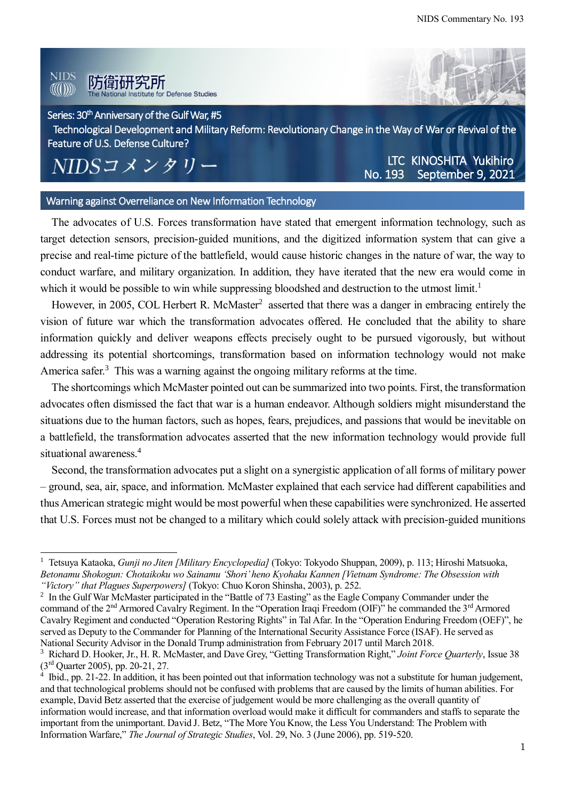#### **NIDS** 防衛研究所  $\langle\langle\langle(1)\rangle\rangle\rangle$ tute for Defense Studies

## Series: 30<sup>th</sup> Anniversary of the Gulf War, #5

Technological Development and Military Reform: Revolutionary Change in the Way of War or Revival of the Feature of U.S. Defense Culture?

# NIDSコメンタリー

 $\overline{a}$ 

No. 193 September 9, 2021 LTC KINOSHITA Yukihiro

#### Warning against Overreliance on New Information Technology

The advocates of U.S. Forces transformation have stated that emergent information technology, such as target detection sensors, precision-guided munitions, and the digitized information system that can give a precise and real-time picture of the battlefield, would cause historic changes in the nature of war, the way to conduct warfare, and military organization. In addition, they have iterated that the new era would come in which it would be possible to win while suppressing bloodshed and destruction to the utmost limit.<sup>1</sup>

However, in 2005, COL Herbert R. McMaster<sup>2</sup> asserted that there was a danger in embracing entirely the vision of future war which the transformation advocates offered. He concluded that the ability to share information quickly and deliver weapons effects precisely ought to be pursued vigorously, but without addressing its potential shortcomings, transformation based on information technology would not make America safer.<sup>3</sup> This was a warning against the ongoing military reforms at the time.

The shortcomings which McMaster pointed out can be summarized into two points. First, the transformation advocates often dismissed the fact that war is a human endeavor. Although soldiers might misunderstand the situations due to the human factors, such as hopes, fears, prejudices, and passions that would be inevitable on a battlefield, the transformation advocates asserted that the new information technology would provide full situational awareness. 4

Second, the transformation advocates put a slight on a synergistic application of all forms of military power – ground, sea, air, space, and information. McMaster explained that each service had different capabilities and thus American strategic might would be most powerful when these capabilities were synchronized. He asserted that U.S. Forces must not be changed to a military which could solely attack with precision-guided munitions

<sup>1</sup> Tetsuya Kataoka, *Gunji no Jiten [Military Encyclopedia]* (Tokyo: Tokyodo Shuppan, 2009), p. 113; Hiroshi Matsuoka, *Betonamu Shokogun: Chotaikoku wo Sainamu 'Shori' heno Kyohaku Kannen [Vietnam Syndrome: The Obsession with "Victory" that Plagues Superpowers]* (Tokyo: Chuo Koron Shinsha, 2003), p. 252.

 $2 \text{ In the Gulf War McMaster participated in the "Battle of 73 Easting" as the Eagle Company Commander under the$ command of the 2<sup>nd</sup> Armored Cavalry Regiment. In the "Operation Iraqi Freedom (OIF)" he commanded the 3<sup>rd</sup> Armored Cavalry Regiment and conducted "Operation Restoring Rights" in Tal Afar. In the "Operation Enduring Freedom (OEF)", he served as Deputy to the Commander for Planning of the International Security Assistance Force (ISAF). He served as National Security Advisor in the Donald Trump administration from February 2017 until March 2018.

<sup>3</sup> Richard D. Hooker, Jr., H. R. McMaster, and Dave Grey, "Getting Transformation Right," *Joint Force Quarterly*, Issue 38 (3rd Quarter 2005), pp. 20-21, 27.

<sup>&</sup>lt;sup>4</sup> Ibid., pp. 21-22. In addition, it has been pointed out that information technology was not a substitute for human judgement, and that technological problems should not be confused with problems that are caused by the limits of human abilities. For example, David Betz asserted that the exercise of judgement would be more challenging as the overall quantity of information would increase, and that information overload would make it difficult for commanders and staffs to separate the important from the unimportant. David J. Betz, "The More You Know, the Less You Understand: The Problem with Information Warfare," *The Journal of Strategic Studies*, Vol. 29, No. 3 (June 2006), pp. 519-520.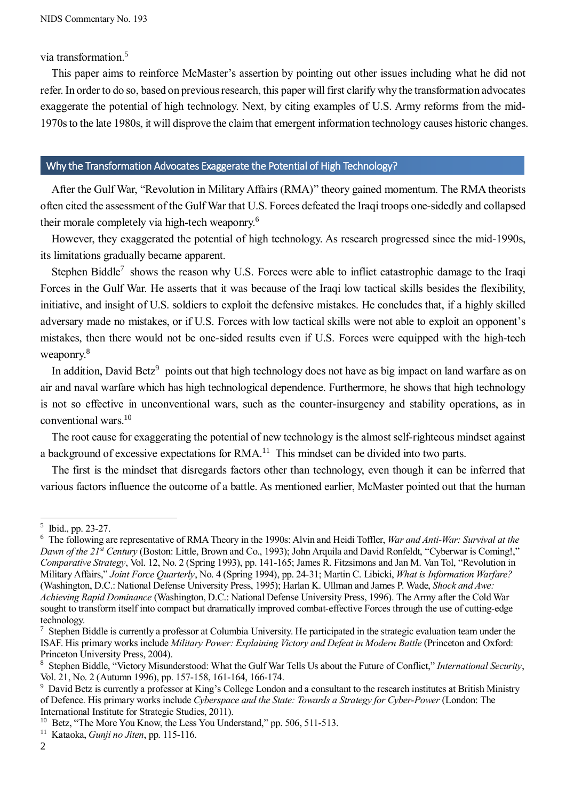via transformation. 5

This paper aims to reinforce McMaster's assertion by pointing out other issues including what he did not refer. In order to do so, based on previous research, this paper will first clarify why the transformation advocates exaggerate the potential of high technology. Next, by citing examples of U.S. Army reforms from the mid-1970s to the late 1980s, it will disprove the claim that emergent information technology causes historic changes.

### Why the Transformation Advocates Exaggerate the Potential of High Technology?

After the Gulf War, "Revolution in Military Affairs (RMA)" theory gained momentum. The RMA theorists often cited the assessment of the Gulf War that U.S. Forces defeated the Iraqi troops one-sidedly and collapsed their morale completely via high-tech weaponry.<sup>6</sup>

However, they exaggerated the potential of high technology. As research progressed since the mid-1990s, its limitations gradually became apparent.

Stephen Biddle<sup>7</sup> shows the reason why U.S. Forces were able to inflict catastrophic damage to the Iraqi Forces in the Gulf War. He asserts that it was because of the Iraqi low tactical skills besides the flexibility, initiative, and insight of U.S. soldiers to exploit the defensive mistakes. He concludes that, if a highly skilled adversary made no mistakes, or if U.S. Forces with low tactical skills were not able to exploit an opponent's mistakes, then there would not be one-sided results even if U.S. Forces were equipped with the high-tech weaponry.<sup>8</sup>

In addition, David Betz<sup>9</sup> points out that high technology does not have as big impact on land warfare as on air and naval warfare which has high technological dependence. Furthermore, he shows that high technology is not so effective in unconventional wars, such as the counter-insurgency and stability operations, as in conventional wars. 10

The root cause for exaggerating the potential of new technology is the almost self-righteous mindset against a background of excessive expectations for RMA.<sup>11</sup> This mindset can be divided into two parts.

The first is the mindset that disregards factors other than technology, even though it can be inferred that various factors influence the outcome of a battle. As mentioned earlier, McMaster pointed out that the human

<sup>&</sup>lt;sup>5</sup> Ibid., pp. 23-27.

<sup>6</sup> The following are representative of RMA Theory in the 1990s: Alvin and Heidi Toffler, *War and Anti-War: Survival at the Dawn of the 21st Century* (Boston: Little, Brown and Co., 1993); John Arquila and David Ronfeldt, "Cyberwar is Coming!," *Comparative Strategy*, Vol. 12, No. 2 (Spring 1993), pp. 141-165; James R. Fitzsimons and Jan M. Van Tol, "Revolution in Military Affairs," *Joint Force Quarterly*, No. 4 (Spring 1994), pp. 24-31; Martin C. Libicki, *What is Information Warfare?* (Washington, D.C.: National Defense University Press, 1995); Harlan K. Ullman and James P. Wade, *Shock and Awe: Achieving Rapid Dominance* (Washington, D.C.: National Defense University Press, 1996). The Army after the Cold War sought to transform itself into compact but dramatically improved combat-effective Forces through the use of cutting-edge technology.

 $\frac{7}{1}$  Stephen Biddle is currently a professor at Columbia University. He participated in the strategic evaluation team under the ISAF. His primary works include *Military Power: Explaining Victory and Defeat in Modern Battle* (Princeton and Oxford: Princeton University Press, 2004).

<sup>8</sup> Stephen Biddle, "Victory Misunderstood: What the Gulf War Tells Us about the Future of Conflict," *International Security*, Vol. 21, No. 2 (Autumn 1996), pp. 157-158, 161-164, 166-174.

<sup>&</sup>lt;sup>9</sup> David Betz is currently a professor at King's College London and a consultant to the research institutes at British Ministry of Defence. His primary works include *Cyberspace and the State: Towards a Strategy for Cyber-Power* (London: The International Institute for Strategic Studies, 2011).

<sup>&</sup>lt;sup>10</sup> Betz, "The More You Know, the Less You Understand," pp. 506, 511-513.

<sup>11</sup> Kataoka, *Gunji no Jiten*, pp. 115-116.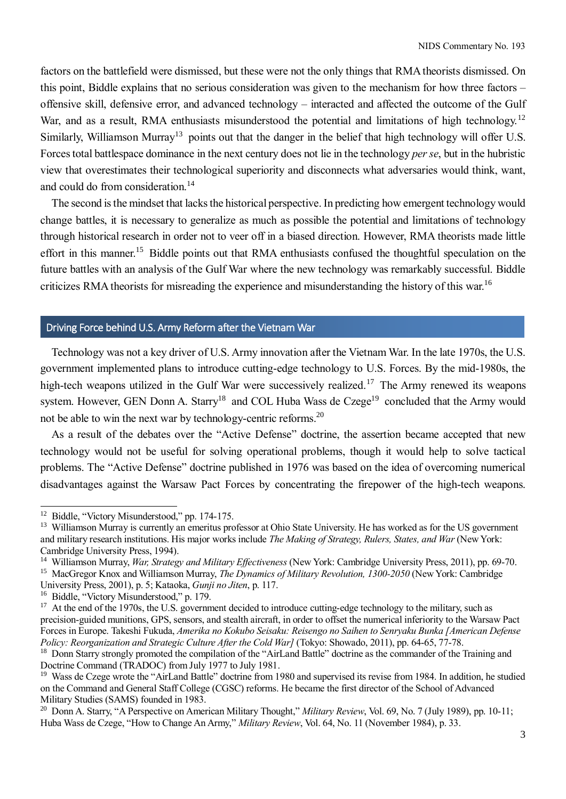factors on the battlefield were dismissed, but these were not the only things that RMA theorists dismissed. On this point, Biddle explains that no serious consideration was given to the mechanism for how three factors – offensive skill, defensive error, and advanced technology – interacted and affected the outcome of the Gulf War, and as a result, RMA enthusiasts misunderstood the potential and limitations of high technology.<sup>12</sup> Similarly, Williamson Murray<sup>13</sup> points out that the danger in the belief that high technology will offer U.S. Forces total battlespace dominance in the next century does not lie in the technology *per se*, but in the hubristic view that overestimates their technological superiority and disconnects what adversaries would think, want, and could do from consideration.<sup>14</sup>

The second is the mindset that lacks the historical perspective. In predicting how emergent technology would change battles, it is necessary to generalize as much as possible the potential and limitations of technology through historical research in order not to veer off in a biased direction. However, RMA theorists made little effort in this manner.<sup>15</sup> Biddle points out that RMA enthusiasts confused the thoughtful speculation on the future battles with an analysis of the Gulf War where the new technology was remarkably successful. Biddle criticizes RMA theorists for misreading the experience and misunderstanding the history of this war.<sup>16</sup>

# Driving Force behind U.S. Army Reform after the Vietnam War

Technology was not a key driver of U.S. Army innovation after the Vietnam War. In the late 1970s, the U.S. government implemented plans to introduce cutting-edge technology to U.S. Forces. By the mid-1980s, the high-tech weapons utilized in the Gulf War were successively realized.<sup>17</sup> The Army renewed its weapons system. However, GEN Donn A. Starry<sup>18</sup> and COL Huba Wass de Czege<sup>19</sup> concluded that the Army would not be able to win the next war by technology-centric reforms. 20

As a result of the debates over the "Active Defense" doctrine, the assertion became accepted that new technology would not be useful for solving operational problems, though it would help to solve tactical problems. The "Active Defense" doctrine published in 1976 was based on the idea of overcoming numerical disadvantages against the Warsaw Pact Forces by concentrating the firepower of the high-tech weapons.

<sup>&</sup>lt;sup>12</sup> Biddle, "Victory Misunderstood," pp. 174-175.

<sup>&</sup>lt;sup>13</sup> Williamson Murray is currently an emeritus professor at Ohio State University. He has worked as for the US government and military research institutions. His major works include *The Making of Strategy, Rulers, States, and War* (New York: Cambridge University Press, 1994).

<sup>14</sup> Williamson Murray, *War, Strategy and Military Effectiveness* (New York: Cambridge University Press, 2011), pp. 69-70. <sup>15</sup> MacGregor Knox and Williamson Murray, *The Dynamics of Military Revolution, 1300-2050* (New York: Cambridge University Press, 2001), p. 5; Kataoka, *Gunji no Jiten*, p. 117.

<sup>&</sup>lt;sup>16</sup> Biddle, "Victory Misunderstood," p. 179.

<sup>&</sup>lt;sup>17</sup> At the end of the 1970s, the U.S. government decided to introduce cutting-edge technology to the military, such as precision-guided munitions, GPS, sensors, and stealth aircraft, in order to offset the numerical inferiority to the Warsaw Pact Forces in Europe. Takeshi Fukuda, *Amerika no Kokubo Seisaku: Reisengo no Saihen to Senryaku Bunka [American Defense Policy: Reorganization and Strategic Culture After the Cold War]* (Tokyo: Showado, 2011), pp. 64-65, 77-78.

<sup>&</sup>lt;sup>18</sup> Donn Starry strongly promoted the compilation of the "AirLand Battle" doctrine as the commander of the Training and Doctrine Command (TRADOC) from July 1977 to July 1981.

<sup>&</sup>lt;sup>19</sup> Wass de Czege wrote the "AirLand Battle" doctrine from 1980 and supervised its revise from 1984. In addition, he studied on the Command and General Staff College (CGSC) reforms. He became the first director of the School of Advanced Military Studies (SAMS) founded in 1983.

<sup>&</sup>lt;sup>20</sup> Donn A. Starry, "A Perspective on American Military Thought," *Military Review*, Vol. 69, No. 7 (July 1989), pp. 10-11; Huba Wass de Czege, "How to Change An Army," *Military Review*, Vol. 64, No. 11 (November 1984), p. 33.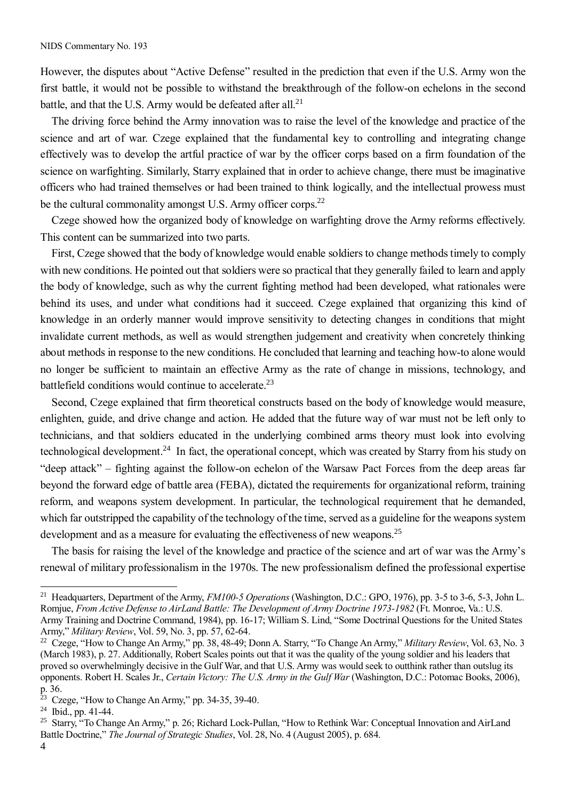However, the disputes about "Active Defense" resulted in the prediction that even if the U.S. Army won the first battle, it would not be possible to withstand the breakthrough of the follow-on echelons in the second battle, and that the U.S. Army would be defeated after all.<sup>21</sup>

The driving force behind the Army innovation was to raise the level of the knowledge and practice of the science and art of war. Czege explained that the fundamental key to controlling and integrating change effectively was to develop the artful practice of war by the officer corps based on a firm foundation of the science on warfighting. Similarly, Starry explained that in order to achieve change, there must be imaginative officers who had trained themselves or had been trained to think logically, and the intellectual prowess must be the cultural commonality amongst U.S. Army officer corps.<sup>22</sup>

Czege showed how the organized body of knowledge on warfighting drove the Army reforms effectively. This content can be summarized into two parts.

First, Czege showed that the body of knowledge would enable soldiers to change methods timely to comply with new conditions. He pointed out that soldiers were so practical that they generally failed to learn and apply the body of knowledge, such as why the current fighting method had been developed, what rationales were behind its uses, and under what conditions had it succeed. Czege explained that organizing this kind of knowledge in an orderly manner would improve sensitivity to detecting changes in conditions that might invalidate current methods, as well as would strengthen judgement and creativity when concretely thinking about methods in response to the new conditions. He concluded that learning and teaching how-to alone would no longer be sufficient to maintain an effective Army as the rate of change in missions, technology, and battlefield conditions would continue to accelerate.<sup>23</sup>

Second, Czege explained that firm theoretical constructs based on the body of knowledge would measure, enlighten, guide, and drive change and action. He added that the future way of war must not be left only to technicians, and that soldiers educated in the underlying combined arms theory must look into evolving technological development.<sup>24</sup> In fact, the operational concept, which was created by Starry from his study on "deep attack" – fighting against the follow-on echelon of the Warsaw Pact Forces from the deep areas far beyond the forward edge of battle area (FEBA), dictated the requirements for organizational reform, training reform, and weapons system development. In particular, the technological requirement that he demanded, which far outstripped the capability of the technology of the time, served as a guideline for the weapons system development and as a measure for evaluating the effectiveness of new weapons.<sup>25</sup>

The basis for raising the level of the knowledge and practice of the science and art of war was the Army's renewal of military professionalism in the 1970s. The new professionalism defined the professional expertise

4

<sup>21</sup> Headquarters, Department of the Army, *FM100-5 Operations* (Washington, D.C.: GPO, 1976), pp. 3-5 to 3-6, 5-3, John L. Romjue, *From Active Defense to AirLand Battle: The Development of Army Doctrine 1973-1982* (Ft. Monroe, Va.: U.S. Army Training and Doctrine Command, 1984), pp. 16-17; William S. Lind, "Some Doctrinal Questions for the United States Army," *Military Review*, Vol. 59, No. 3, pp. 57, 62-64.

<sup>22</sup> Czege, "How to Change An Army," pp. 38, 48-49; Donn A. Starry, "To Change An Army," *Military Review*, Vol. 63, No. 3 (March 1983), p. 27. Additionally, Robert Scales points out that it was the quality of the young soldier and his leaders that proved so overwhelmingly decisive in the Gulf War, and that U.S. Army was would seek to outthink rather than outslug its opponents. Robert H. Scales Jr., *Certain Victory: The U.S. Army in the Gulf War* (Washington, D.C.: Potomac Books, 2006),  $\overline{p.}36.$ 

Czege, "How to Change An Army," pp. 34-35, 39-40.

<sup>24</sup> Ibid., pp. 41-44.

<sup>&</sup>lt;sup>25</sup> Starry, "To Change An Army," p. 26; Richard Lock-Pullan, "How to Rethink War: Conceptual Innovation and AirLand Battle Doctrine," *The Journal of Strategic Studies*, Vol. 28, No. 4 (August 2005), p. 684.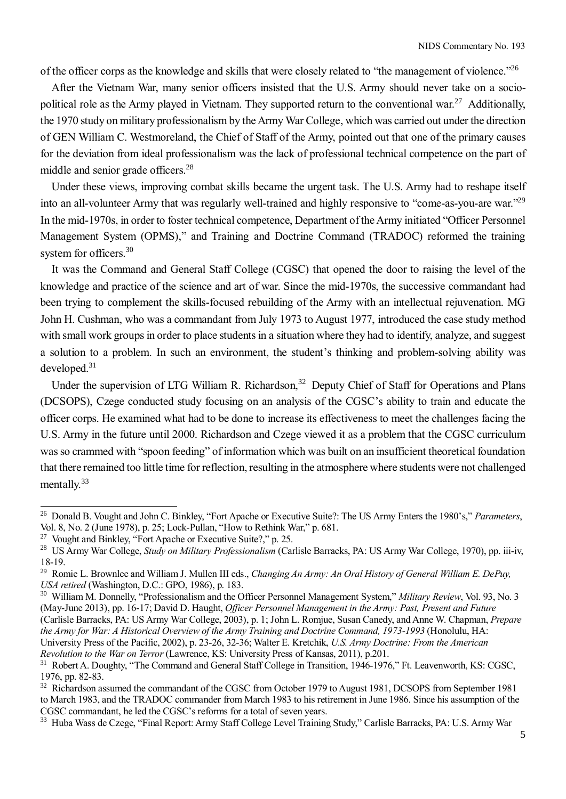of the officer corps as the knowledge and skills that were closely related to "the management of violence."<sup>26</sup>

After the Vietnam War, many senior officers insisted that the U.S. Army should never take on a sociopolitical role as the Army played in Vietnam. They supported return to the conventional war.<sup>27</sup> Additionally, the 1970 study on military professionalism by the Army War College, which was carried out under the direction of GEN William C. Westmoreland, the Chief of Staff of the Army, pointed out that one of the primary causes for the deviation from ideal professionalism was the lack of professional technical competence on the part of middle and senior grade officers.<sup>28</sup>

Under these views, improving combat skills became the urgent task. The U.S. Army had to reshape itself into an all-volunteer Army that was regularly well-trained and highly responsive to "come-as-you-are war."<sup>29</sup> In the mid-1970s, in order to foster technical competence, Department of the Army initiated "Officer Personnel Management System (OPMS)," and Training and Doctrine Command (TRADOC) reformed the training system for officers.<sup>30</sup>

It was the Command and General Staff College (CGSC) that opened the door to raising the level of the knowledge and practice of the science and art of war. Since the mid-1970s, the successive commandant had been trying to complement the skills-focused rebuilding of the Army with an intellectual rejuvenation. MG John H. Cushman, who was a commandant from July 1973 to August 1977, introduced the case study method with small work groups in order to place students in a situation where they had to identify, analyze, and suggest a solution to a problem. In such an environment, the student's thinking and problem-solving ability was developed.<sup>31</sup>

Under the supervision of LTG William R. Richardson,<sup>32</sup> Deputy Chief of Staff for Operations and Plans (DCSOPS), Czege conducted study focusing on an analysis of the CGSC's ability to train and educate the officer corps. He examined what had to be done to increase its effectiveness to meet the challenges facing the U.S. Army in the future until 2000. Richardson and Czege viewed it as a problem that the CGSC curriculum was so crammed with "spoon feeding" of information which was built on an insufficient theoretical foundation that there remained too little time for reflection, resulting in the atmosphere where students were not challenged mentally.<sup>33</sup>

<sup>26</sup> Donald B. Vought and John C. Binkley, "Fort Apache or Executive Suite?: The US Army Enters the 1980's," *Parameters*, Vol. 8, No. 2 (June 1978), p. 25; Lock-Pullan, "How to Rethink War," p. 681.

<sup>27</sup> Vought and Binkley, "Fort Apache or Executive Suite?," p. 25.

<sup>28</sup> US Army War College, *Study on Military Professionalism* (Carlisle Barracks, PA: US Army War College, 1970), pp. iii-iv, 18-19.

<sup>&</sup>lt;sup>29</sup> Romie L. Brownlee and William J. Mullen III eds., *Changing An Army: An Oral History of General William E. DePuy, USA retired* (Washington, D.C.: GPO, 1986), p. 183.

<sup>30</sup> William M. Donnelly, "Professionalism and the Officer Personnel Management System," *Military Review*, Vol. 93, No. 3 (May-June 2013), pp. 16-17; David D. Haught, *Officer Personnel Management in the Army: Past, Present and Future* (Carlisle Barracks, PA: US Army War College, 2003), p. 1; John L. Romjue, Susan Canedy, and Anne W. Chapman, *Prepare the Army for War: A Historical Overview of the Army Training and Doctrine Command, 1973-1993* (Honolulu, HA: University Press of the Pacific, 2002), p. 23-26, 32-36; Walter E. Kretchik, *U.S. Army Doctrine: From the American Revolution to the War on Terror* (Lawrence, KS: University Press of Kansas, 2011), p.201.

<sup>&</sup>lt;sup>31</sup> Robert A. Doughty, "The Command and General Staff College in Transition, 1946-1976," Ft. Leavenworth, KS: CGSC, 1976, pp. 82-83.

<sup>&</sup>lt;sup>32</sup> Richardson assumed the commandant of the CGSC from October 1979 to August 1981, DCSOPS from September 1981 to March 1983, and the TRADOC commander from March 1983 to his retirement in June 1986. Since his assumption of the CGSC commandant, he led the CGSC's reforms for a total of seven years.

<sup>&</sup>lt;sup>33</sup> Huba Wass de Czege, "Final Report: Army Staff College Level Training Study," Carlisle Barracks, PA: U.S. Army War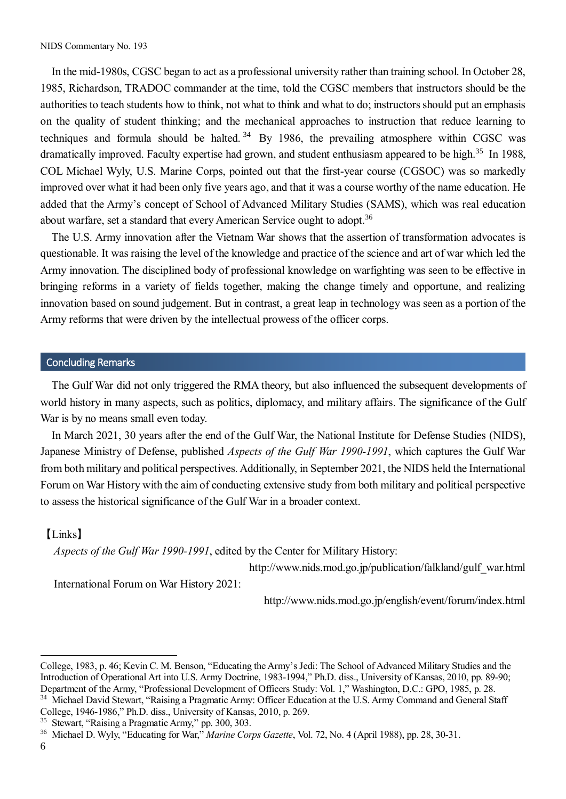In the mid-1980s, CGSC began to act as a professional university rather than training school. In October 28, 1985, Richardson, TRADOC commander at the time, told the CGSC members that instructors should be the authorities to teach students how to think, not what to think and what to do; instructors should put an emphasis on the quality of student thinking; and the mechanical approaches to instruction that reduce learning to techniques and formula should be halted.<sup>34</sup> By 1986, the prevailing atmosphere within CGSC was dramatically improved. Faculty expertise had grown, and student enthusiasm appeared to be high.<sup>35</sup> In 1988, COL Michael Wyly, U.S. Marine Corps, pointed out that the first-year course (CGSOC) was so markedly improved over what it had been only five years ago, and that it was a course worthy of the name education. He added that the Army's concept of School of Advanced Military Studies (SAMS), which was real education about warfare, set a standard that every American Service ought to adopt.<sup>36</sup>

The U.S. Army innovation after the Vietnam War shows that the assertion of transformation advocates is questionable. It was raising the level of the knowledge and practice of the science and art of war which led the Army innovation. The disciplined body of professional knowledge on warfighting was seen to be effective in bringing reforms in a variety of fields together, making the change timely and opportune, and realizing innovation based on sound judgement. But in contrast, a great leap in technology was seen as a portion of the Army reforms that were driven by the intellectual prowess of the officer corps.

#### Concluding Remarks

The Gulf War did not only triggered the RMA theory, but also influenced the subsequent developments of world history in many aspects, such as politics, diplomacy, and military affairs. The significance of the Gulf War is by no means small even today.

In March 2021, 30 years after the end of the Gulf War, the National Institute for Defense Studies (NIDS), Japanese Ministry of Defense, published *Aspects of the Gulf War 1990-1991*, which captures the Gulf War from both military and political perspectives. Additionally, in September 2021, the NIDS held the International Forum on War History with the aim of conducting extensive study from both military and political perspective to assess the historical significance of the Gulf War in a broader context.

#### 【Links】

*Aspects of the Gulf War 1990-1991*, edited by the Center for Military History:

http://www.nids.mod.go.jp/publication/falkland/gulf\_war.html

International Forum on War History 2021:

http://www.nids.mod.go.jp/english/event/forum/index.html

College, 1983, p. 46; Kevin C. M. Benson, "Educating the Army's Jedi: The School of Advanced Military Studies and the Introduction of Operational Art into U.S. Army Doctrine, 1983-1994," Ph.D. diss., University of Kansas, 2010, pp. 89-90; Department of the Army, "Professional Development of Officers Study: Vol. 1," Washington, D.C.: GPO, 1985, p. 28.

<sup>&</sup>lt;sup>34</sup> Michael David Stewart, "Raising a Pragmatic Army: Officer Education at the U.S. Army Command and General Staff College, 1946-1986," Ph.D. diss., University of Kansas, 2010, p. 269.

<sup>35</sup> Stewart, "Raising a Pragmatic Army," pp. 300, 303.

<sup>36</sup> Michael D. Wyly, "Educating for War," *Marine Corps Gazette*, Vol. 72, No. 4 (April 1988), pp. 28, 30-31.